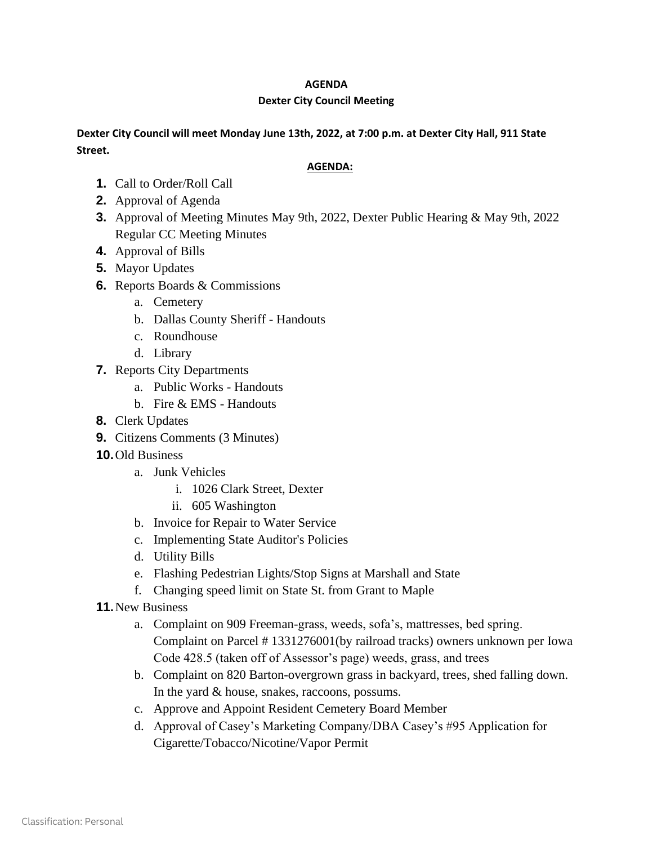## **AGENDA**

## **Dexter City Council Meeting**

## **Dexter City Council will meet Monday June 13th, 2022, at 7:00 p.m. at Dexter City Hall, 911 State Street.**

## **AGENDA:**

- **1.** Call to Order/Roll Call
- **2.** Approval of Agenda
- **3.** Approval of Meeting Minutes May 9th, 2022, Dexter Public Hearing & May 9th, 2022 Regular CC Meeting Minutes
- **4.** Approval of Bills
- **5.** Mayor Updates
- **6.** Reports Boards & Commissions
	- a. Cemetery
	- b. Dallas County Sheriff Handouts
	- c. Roundhouse
	- d. Library
- **7.** Reports City Departments
	- a. Public Works Handouts
	- b. Fire & EMS Handouts
- **8.** Clerk Updates
- **9.** Citizens Comments (3 Minutes)
- **10.**Old Business
	- a. Junk Vehicles
		- i. 1026 Clark Street, Dexter
		- ii. 605 Washington
	- b. Invoice for Repair to Water Service
	- c. Implementing State Auditor's Policies
	- d. Utility Bills
	- e. Flashing Pedestrian Lights/Stop Signs at Marshall and State
	- f. Changing speed limit on State St. from Grant to Maple
- **11.**New Business
	- a. Complaint on 909 Freeman-grass, weeds, sofa's, mattresses, bed spring. Complaint on Parcel # 1331276001(by railroad tracks) owners unknown per Iowa Code 428.5 (taken off of Assessor's page) weeds, grass, and trees
	- b. Complaint on 820 Barton-overgrown grass in backyard, trees, shed falling down. In the yard & house, snakes, raccoons, possums.
	- c. Approve and Appoint Resident Cemetery Board Member
	- d. Approval of Casey's Marketing Company/DBA Casey's #95 Application for Cigarette/Tobacco/Nicotine/Vapor Permit